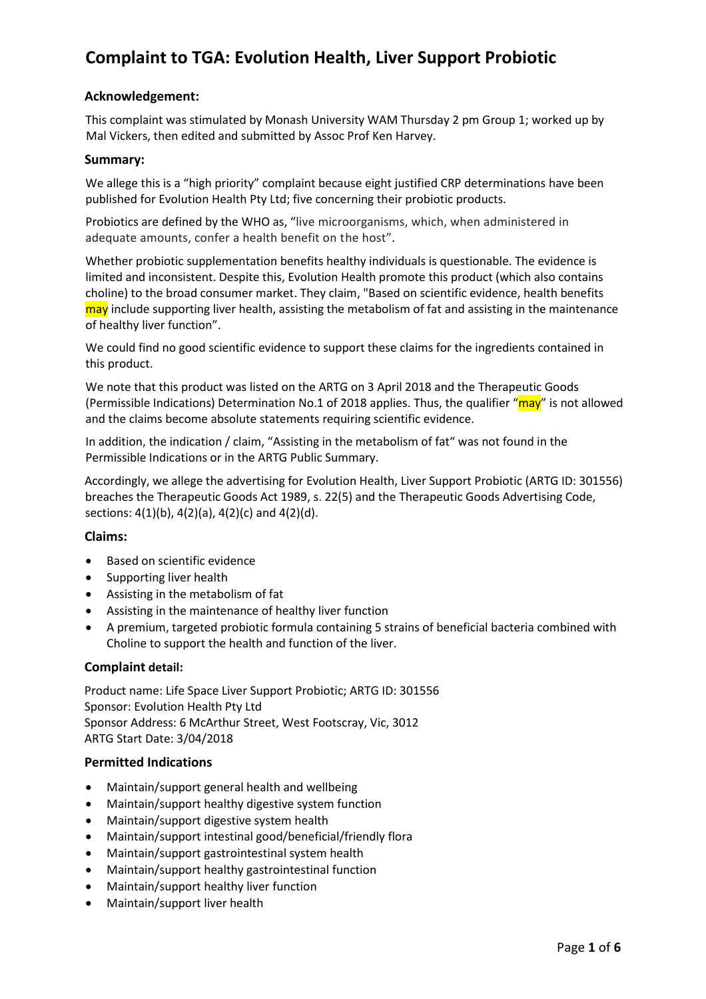### **Acknowledgement:**

This complaint was stimulated by Monash University WAM Thursday 2 pm Group 1; worked up by Mal Vickers, then edited and submitted by Assoc Prof Ken Harvey.

#### **Summary:**

We allege this is a "high priority" complaint because eight justified CRP determinations have been published for Evolution Health Pty Ltd; five concerning their probiotic products.

Probiotics are defined by the WHO as, "live microorganisms, which, when administered in adequate amounts, confer a health benefit on the host".

Whether probiotic supplementation benefits healthy individuals is questionable. The evidence is limited and inconsistent. Despite this, Evolution Health promote this product (which also contains choline) to the broad consumer market. They claim, "Based on scientific evidence, health benefits may include supporting liver health, assisting the metabolism of fat and assisting in the maintenance of healthy liver function".

We could find no good scientific evidence to support these claims for the ingredients contained in this product.

We note that this product was listed on the ARTG on 3 April 2018 and the Therapeutic Goods (Permissible Indications) Determination No.1 of 2018 applies. Thus, the qualifier "may" is not allowed and the claims become absolute statements requiring scientific evidence.

In addition, the indication / claim, "Assisting in the metabolism of fat" was not found in the Permissible Indications or in the ARTG Public Summary.

Accordingly, we allege the advertising for Evolution Health, Liver Support Probiotic (ARTG ID: 301556) breaches the Therapeutic Goods Act 1989, s. 22(5) and the Therapeutic Goods Advertising Code, sections: 4(1)(b), 4(2)(a), 4(2)(c) and 4(2)(d).

#### **Claims:**

- Based on scientific evidence
- Supporting liver health
- Assisting in the metabolism of fat
- Assisting in the maintenance of healthy liver function
- A premium, targeted probiotic formula containing 5 strains of beneficial bacteria combined with Choline to support the health and function of the liver.

#### **Complaint detail:**

Product name: Life Space Liver Support Probiotic; ARTG ID: 301556 Sponsor: Evolution Health Pty Ltd Sponsor Address: 6 McArthur Street, West Footscray, Vic, 3012 ARTG Start Date: 3/04/2018

#### **Permitted Indications**

- Maintain/support general health and wellbeing
- Maintain/support healthy digestive system function
- Maintain/support digestive system health
- Maintain/support intestinal good/beneficial/friendly flora
- Maintain/support gastrointestinal system health
- Maintain/support healthy gastrointestinal function
- Maintain/support healthy liver function
- Maintain/support liver health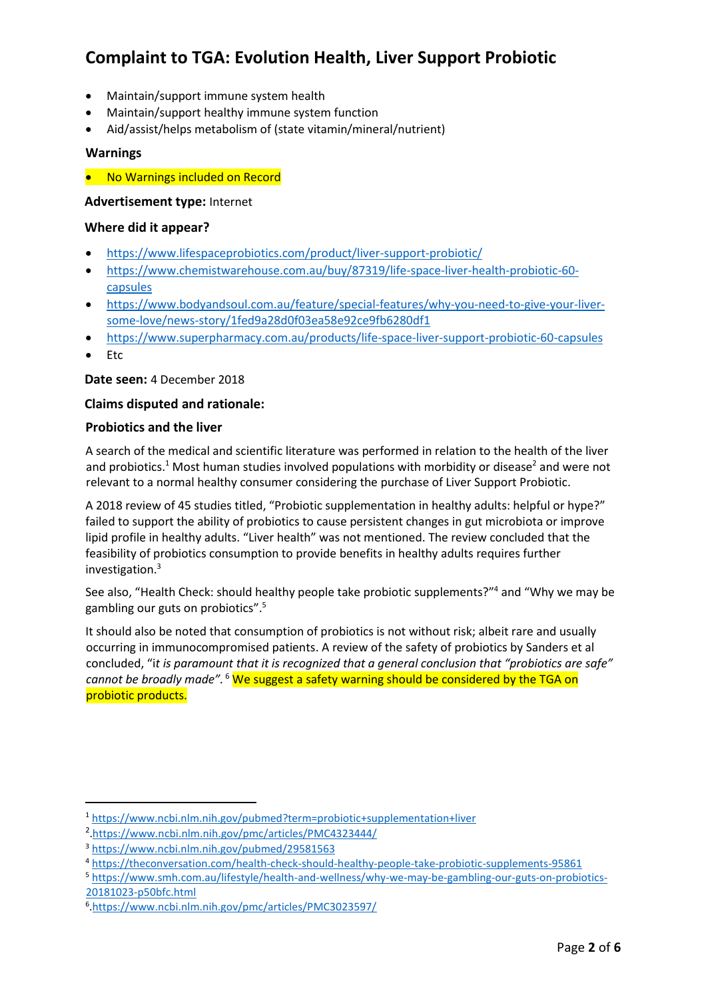- Maintain/support immune system health
- Maintain/support healthy immune system function
- Aid/assist/helps metabolism of (state vitamin/mineral/nutrient)

### **Warnings**

• No Warnings included on Record

### **Advertisement type:** Internet

#### **Where did it appear?**

- <https://www.lifespaceprobiotics.com/product/liver-support-probiotic/>
- [https://www.chemistwarehouse.com.au/buy/87319/life-space-liver-health-probiotic-60](https://www.chemistwarehouse.com.au/buy/87319/life-space-liver-health-probiotic-60-capsules) [capsules](https://www.chemistwarehouse.com.au/buy/87319/life-space-liver-health-probiotic-60-capsules)
- [https://www.bodyandsoul.com.au/feature/special-features/why-you-need-to-give-your-liver](https://www.bodyandsoul.com.au/feature/special-features/why-you-need-to-give-your-liver-some-love/news-story/1fed9a28d0f03ea58e92ce9fb6280df1)[some-love/news-story/1fed9a28d0f03ea58e92ce9fb6280df1](https://www.bodyandsoul.com.au/feature/special-features/why-you-need-to-give-your-liver-some-love/news-story/1fed9a28d0f03ea58e92ce9fb6280df1)
- <https://www.superpharmacy.com.au/products/life-space-liver-support-probiotic-60-capsules>
- Etc

 $\overline{a}$ 

**Date seen:** 4 December 2018

#### **Claims disputed and rationale:**

#### **Probiotics and the liver**

A search of the medical and scientific literature was performed in relation to the health of the liver and probiotics.<sup>1</sup> Most human studies involved populations with morbidity or disease<sup>2</sup> and were not relevant to a normal healthy consumer considering the purchase of Liver Support Probiotic.

A 2018 review of 45 studies titled, "Probiotic supplementation in healthy adults: helpful or hype?" failed to support the ability of probiotics to cause persistent changes in gut microbiota or improve lipid profile in healthy adults. "Liver health" was not mentioned. The review concluded that the feasibility of probiotics consumption to provide benefits in healthy adults requires further investigation.<sup>3</sup>

See also, "Health Check: should healthy people take probiotic supplements?" <sup>4</sup> and "Why we may be gambling our guts on probiotics".<sup>5</sup>

It should also be noted that consumption of probiotics is not without risk; albeit rare and usually occurring in immunocompromised patients. A review of the safety of probiotics by Sanders et al concluded, "i*t is paramount that it is recognized that a general conclusion that "probiotics are safe" cannot be broadly made".* <sup>6</sup> We suggest a safety warning should be considered by the TGA on probiotic products.

<sup>1</sup> <https://www.ncbi.nlm.nih.gov/pubmed?term=probiotic+supplementation+liver>

<sup>2</sup> [.https://www.ncbi.nlm.nih.gov/pmc/articles/PMC4323444/](https://www.ncbi.nlm.nih.gov/pmc/articles/PMC4323444/)

<sup>3</sup> <https://www.ncbi.nlm.nih.gov/pubmed/29581563>

<sup>4</sup> <https://theconversation.com/health-check-should-healthy-people-take-probiotic-supplements-95861>

<sup>5</sup> [https://www.smh.com.au/lifestyle/health-and-wellness/why-we-may-be-gambling-our-guts-on-probiotics-](https://www.smh.com.au/lifestyle/health-and-wellness/why-we-may-be-gambling-our-guts-on-probiotics-20181023-p50bfc.html)[20181023-p50bfc.html](https://www.smh.com.au/lifestyle/health-and-wellness/why-we-may-be-gambling-our-guts-on-probiotics-20181023-p50bfc.html)

<sup>6</sup> [.https://www.ncbi.nlm.nih.gov/pmc/articles/PMC3023597/](https://www.ncbi.nlm.nih.gov/pmc/articles/PMC3023597/)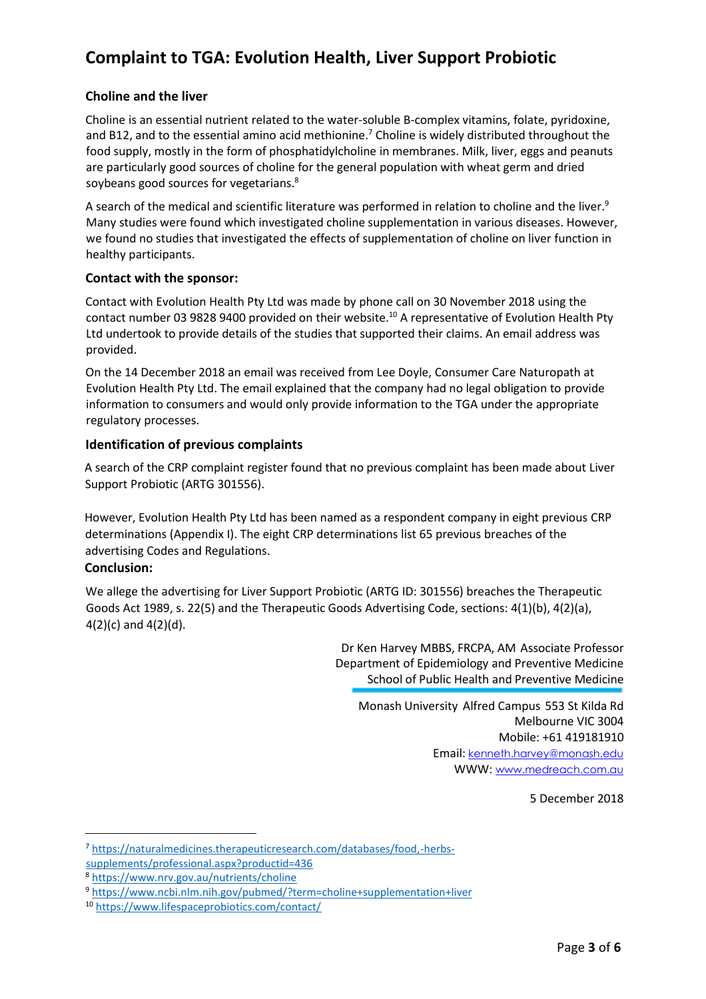### **Choline and the liver**

Choline is an essential nutrient related to the water-soluble B-complex vitamins, folate, pyridoxine, and B12, and to the essential amino acid methionine. <sup>7</sup> Choline is widely distributed throughout the food supply, mostly in the form of phosphatidylcholine in membranes. Milk, liver, eggs and peanuts are particularly good sources of choline for the general population with wheat germ and dried soybeans good sources for vegetarians. 8

A search of the medical and scientific literature was performed in relation to choline and the liver. $^9$ Many studies were found which investigated choline supplementation in various diseases. However, we found no studies that investigated the effects of supplementation of choline on liver function in healthy participants.

### **Contact with the sponsor:**

Contact with Evolution Health Pty Ltd was made by phone call on 30 November 2018 using the contact number 03 9828 9400 provided on their website.<sup>10</sup> A representative of Evolution Health Pty Ltd undertook to provide details of the studies that supported their claims. An email address was provided.

On the 14 December 2018 an email was received from Lee Doyle, Consumer Care Naturopath at Evolution Health Pty Ltd. The email explained that the company had no legal obligation to provide information to consumers and would only provide information to the TGA under the appropriate regulatory processes.

#### **Identification of previous complaints**

A search of the CRP complaint register found that no previous complaint has been made about Liver Support Probiotic (ARTG 301556).

However, Evolution Health Pty Ltd has been named as a respondent company in eight previous CRP determinations (Appendix I). The eight CRP determinations list 65 previous breaches of the advertising Codes and Regulations.

### **Conclusion:**

 $\overline{\phantom{a}}$ 

We allege the advertising for Liver Support Probiotic (ARTG ID: 301556) breaches the Therapeutic Goods Act 1989, s. 22(5) and the Therapeutic Goods Advertising Code, sections: 4(1)(b), 4(2)(a), 4(2)(c) and 4(2)(d).

> Dr Ken Harvey MBBS, FRCPA, AM Associate Professor Department of Epidemiology and Preventive Medicine School of Public Health and Preventive Medicine

Monash University Alfred Campus 553 St Kilda Rd Melbourne VIC 3004 Mobile: +61 419181910 Email: [kenneth.harvey@monash.edu](mailto:kenneth.harvey@monash.edu) WWW: [www.medreach.com.au](http://www.medreach.com.au/)

5 December 2018

<sup>8</sup> <https://www.nrv.gov.au/nutrients/choline>

<sup>7</sup> [https://naturalmedicines.therapeuticresearch.com/databases/food,-herbs](https://naturalmedicines.therapeuticresearch.com/databases/food,-herbs-supplements/professional.aspx?productid=436)[supplements/professional.aspx?productid=436](https://naturalmedicines.therapeuticresearch.com/databases/food,-herbs-supplements/professional.aspx?productid=436)

<sup>9</sup> <https://www.ncbi.nlm.nih.gov/pubmed/?term=choline+supplementation+liver>

<sup>10</sup> <https://www.lifespaceprobiotics.com/contact/>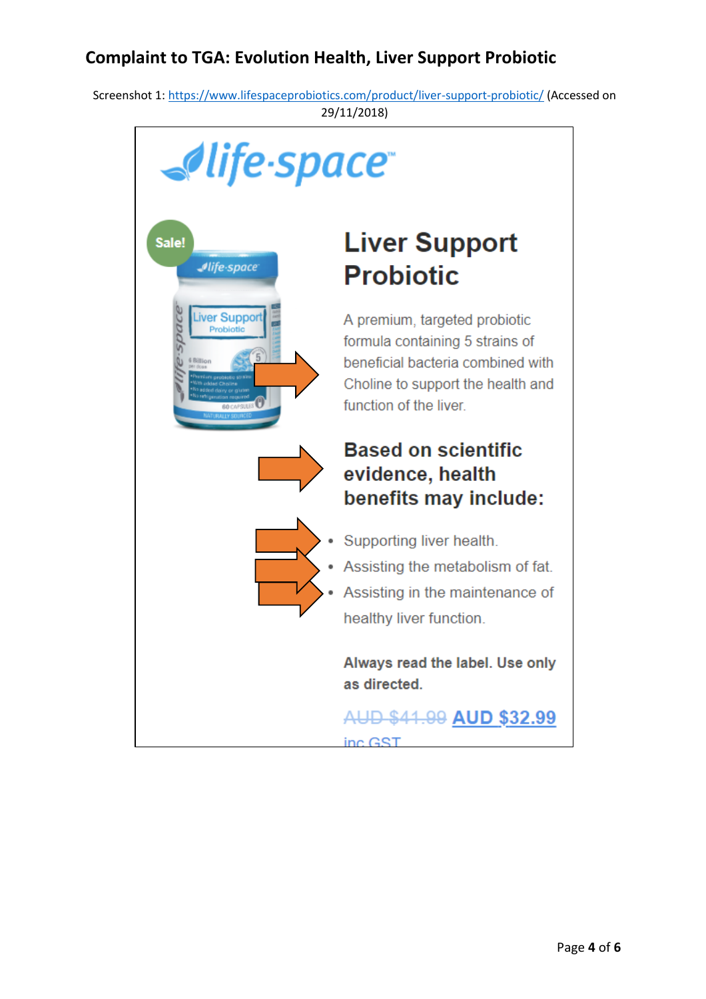Screenshot 1[: https://www.lifespaceprobiotics.com/product/liver-support-probiotic/](https://www.lifespaceprobiotics.com/product/liver-support-probiotic/) (Accessed on 29/11/2018)

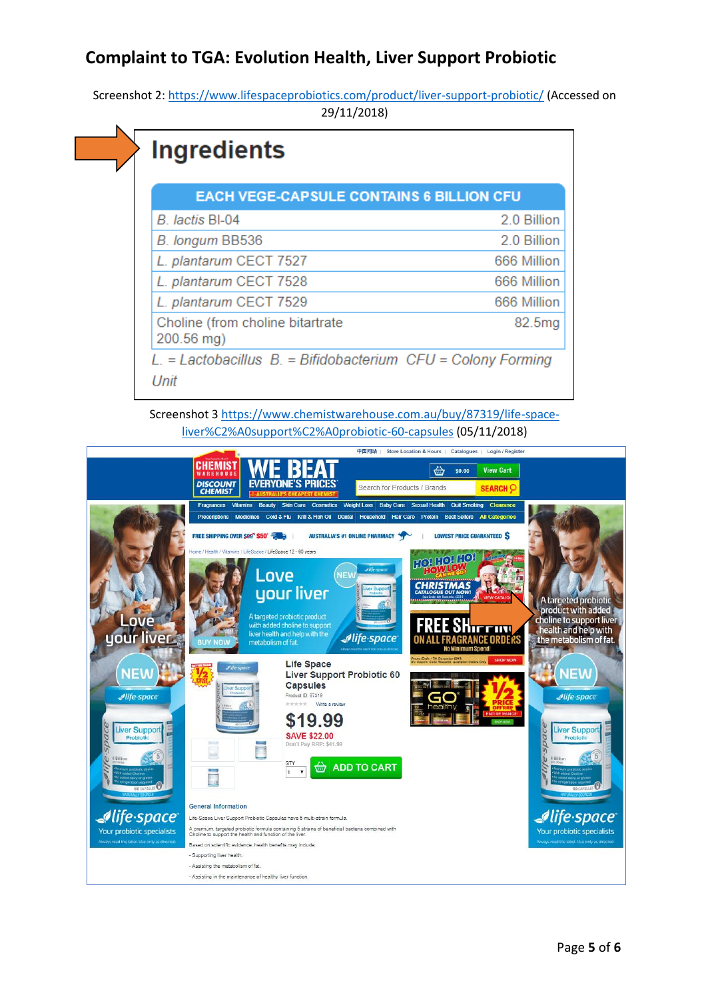Screenshot 2[: https://www.lifespaceprobiotics.com/product/liver-support-probiotic/](https://www.lifespaceprobiotics.com/product/liver-support-probiotic/) (Accessed on 29/11/2018)



Screenshot 3 [https://www.chemistwarehouse.com.au/buy/87319/life-space](https://www.chemistwarehouse.com.au/buy/87319/life-space-liver%C2%A0support%C2%A0probiotic-60-capsules)[liver%C2%A0support%C2%A0probiotic-60-capsules](https://www.chemistwarehouse.com.au/buy/87319/life-space-liver%C2%A0support%C2%A0probiotic-60-capsules) (05/11/2018)